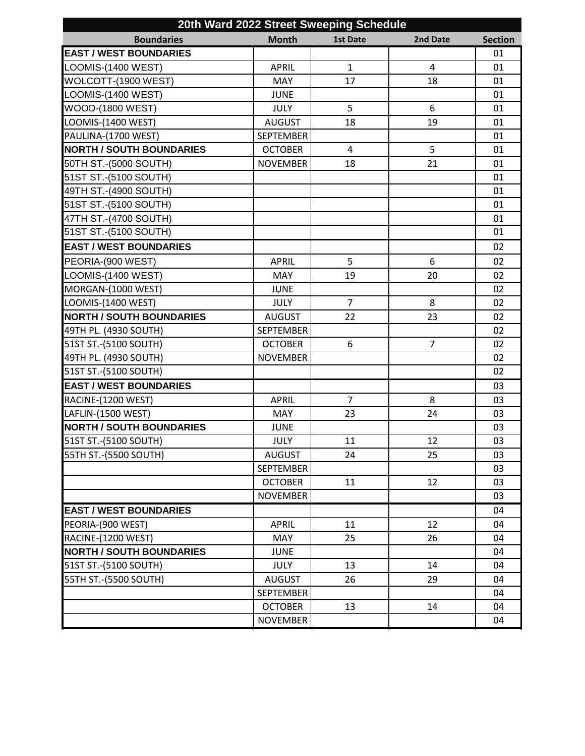|                                 |                  | 20th Ward 2022 Street Sweeping Schedule |                |                |
|---------------------------------|------------------|-----------------------------------------|----------------|----------------|
| <b>Boundaries</b>               | <b>Month</b>     | <b>1st Date</b>                         | 2nd Date       | <b>Section</b> |
| <b>EAST / WEST BOUNDARIES</b>   |                  |                                         |                | 01             |
| LOOMIS-(1400 WEST)              | <b>APRIL</b>     | $\mathbf{1}$                            | 4              | 01             |
| WOLCOTT-(1900 WEST)             | <b>MAY</b>       | 17                                      | 18             | 01             |
| LOOMIS-(1400 WEST)              | <b>JUNE</b>      |                                         |                | 01             |
| <b>WOOD-(1800 WEST)</b>         | <b>JULY</b>      | 5                                       | 6              | 01             |
| LOOMIS-(1400 WEST)              | <b>AUGUST</b>    | 18                                      | 19             | 01             |
| PAULINA-(1700 WEST)             | <b>SEPTEMBER</b> |                                         |                | 01             |
| <b>NORTH / SOUTH BOUNDARIES</b> | <b>OCTOBER</b>   | $\overline{4}$                          | 5              | 01             |
| 50TH ST.-(5000 SOUTH)           | <b>NOVEMBER</b>  | 18                                      | 21             | 01             |
| 51ST ST.-(5100 SOUTH)           |                  |                                         |                | 01             |
| 49TH ST.-(4900 SOUTH)           |                  |                                         |                | 01             |
| 51ST ST.-(5100 SOUTH)           |                  |                                         |                | 01             |
| 47TH ST.-(4700 SOUTH)           |                  |                                         |                | 01             |
| 51ST ST.-(5100 SOUTH)           |                  |                                         |                | 01             |
| <b>EAST / WEST BOUNDARIES</b>   |                  |                                         |                | 02             |
| PEORIA-(900 WEST)               | <b>APRIL</b>     | 5                                       | 6              | 02             |
| LOOMIS-(1400 WEST)              | <b>MAY</b>       | 19                                      | 20             | 02             |
| MORGAN-(1000 WEST)              | <b>JUNE</b>      |                                         |                | 02             |
| LOOMIS-(1400 WEST)              | <b>JULY</b>      | $\overline{7}$                          | 8              | 02             |
| <b>NORTH / SOUTH BOUNDARIES</b> | <b>AUGUST</b>    | 22                                      | 23             | 02             |
| 49TH PL. (4930 SOUTH)           | <b>SEPTEMBER</b> |                                         |                | 02             |
| 51ST ST.-(5100 SOUTH)           | <b>OCTOBER</b>   | 6                                       | $\overline{7}$ | 02             |
| 49TH PL. (4930 SOUTH)           | <b>NOVEMBER</b>  |                                         |                | 02             |
| 51ST ST.-(5100 SOUTH)           |                  |                                         |                | 02             |
| <b>EAST / WEST BOUNDARIES</b>   |                  |                                         |                | 03             |
| RACINE-(1200 WEST)              | <b>APRIL</b>     | $\overline{7}$                          | 8              | 03             |
| LAFLIN-(1500 WEST)              | MAY              | 23                                      | 24             | 03             |
| <b>NORTH / SOUTH BOUNDARIES</b> | <b>JUNE</b>      |                                         |                | 03             |
| 51ST ST.-(5100 SOUTH)           | <b>JULY</b>      | 11                                      | 12             | 03             |
| 55TH ST.-(5500 SOUTH)           | <b>AUGUST</b>    | 24                                      | 25             | 03             |
|                                 | <b>SEPTEMBER</b> |                                         |                | 03             |
|                                 | <b>OCTOBER</b>   | 11                                      | 12             | 03             |
|                                 | <b>NOVEMBER</b>  |                                         |                | 03             |
| <b>EAST / WEST BOUNDARIES</b>   |                  |                                         |                | 04             |
| PEORIA-(900 WEST)               | <b>APRIL</b>     | 11                                      | 12             | 04             |
| <b>RACINE-(1200 WEST)</b>       | MAY              | 25                                      | 26             | 04             |
| <b>NORTH / SOUTH BOUNDARIES</b> | <b>JUNE</b>      |                                         |                | 04             |
| 51ST ST.-(5100 SOUTH)           | <b>JULY</b>      | 13                                      | 14             | 04             |
| 55TH ST.-(5500 SOUTH)           | <b>AUGUST</b>    | 26                                      | 29             | 04             |
|                                 | <b>SEPTEMBER</b> |                                         |                | 04             |
|                                 | <b>OCTOBER</b>   | 13                                      | 14             | 04             |
|                                 | <b>NOVEMBER</b>  |                                         |                | 04             |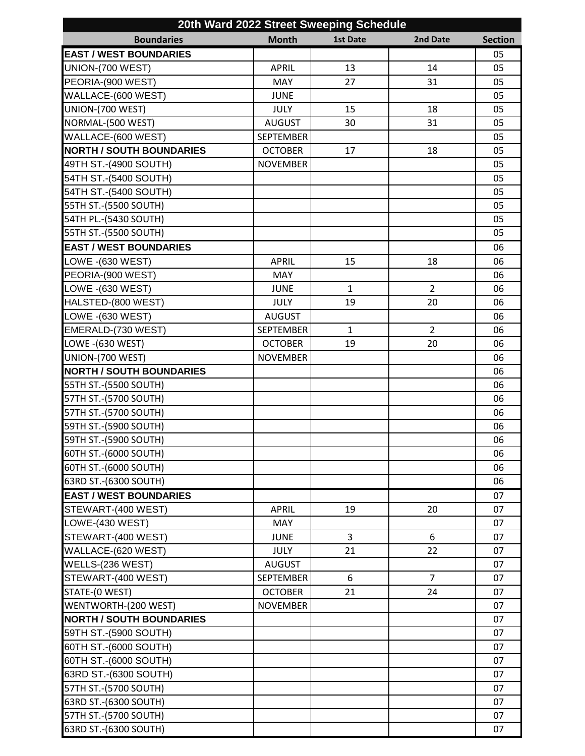| 20th Ward 2022 Street Sweeping Schedule |                  |              |                |                |
|-----------------------------------------|------------------|--------------|----------------|----------------|
| <b>Boundaries</b>                       | <b>Month</b>     | 1st Date     | 2nd Date       | <b>Section</b> |
| <b>EAST / WEST BOUNDARIES</b>           |                  |              |                | 05             |
| UNION-(700 WEST)                        | <b>APRIL</b>     | 13           | 14             | 05             |
| PEORIA-(900 WEST)                       | <b>MAY</b>       | 27           | 31             | 05             |
| WALLACE-(600 WEST)                      | <b>JUNE</b>      |              |                | 05             |
| UNION-(700 WEST)                        | <b>JULY</b>      | 15           | 18             | 05             |
| NORMAL-(500 WEST)                       | <b>AUGUST</b>    | 30           | 31             | 05             |
| WALLACE-(600 WEST)                      | <b>SEPTEMBER</b> |              |                | 05             |
| <b>NORTH / SOUTH BOUNDARIES</b>         | <b>OCTOBER</b>   | 17           | 18             | 05             |
| 49TH ST.-(4900 SOUTH)                   | <b>NOVEMBER</b>  |              |                | 05             |
| 54TH ST.-(5400 SOUTH)                   |                  |              |                | 05             |
| 54TH ST.-(5400 SOUTH)                   |                  |              |                | 05             |
| 55TH ST.-(5500 SOUTH)                   |                  |              |                | 05             |
| 54TH PL.-(5430 SOUTH)                   |                  |              |                | 05             |
| 55TH ST.-(5500 SOUTH)                   |                  |              |                | 05             |
| <b>EAST / WEST BOUNDARIES</b>           |                  |              |                | 06             |
| LOWE -(630 WEST)                        | <b>APRIL</b>     | 15           | 18             | 06             |
| PEORIA-(900 WEST)                       | MAY              |              |                | 06             |
| LOWE - (630 WEST)                       | <b>JUNE</b>      | $\mathbf{1}$ | $\overline{2}$ | 06             |
| HALSTED-(800 WEST)                      | <b>JULY</b>      | 19           | 20             | 06             |
| LOWE -(630 WEST)                        | <b>AUGUST</b>    |              |                | 06             |
| EMERALD-(730 WEST)                      | <b>SEPTEMBER</b> | $\mathbf{1}$ | $\overline{2}$ | 06             |
| LOWE - (630 WEST)                       | <b>OCTOBER</b>   | 19           | 20             | 06             |
| UNION-(700 WEST)                        | <b>NOVEMBER</b>  |              |                | 06             |
| <b>NORTH / SOUTH BOUNDARIES</b>         |                  |              |                | 06             |
| 55TH ST.-(5500 SOUTH)                   |                  |              |                | 06             |
| 57TH ST.-(5700 SOUTH)                   |                  |              |                | 06             |
| 57TH ST.-(5700 SOUTH)                   |                  |              |                | 06             |
| 59TH ST.-(5900 SOUTH)                   |                  |              |                | 06             |
| 59TH ST.-(5900 SOUTH)                   |                  |              |                | 06             |
| 60TH ST.-(6000 SOUTH)                   |                  |              |                | 06             |
| 60TH ST.-(6000 SOUTH)                   |                  |              |                | 06             |
| 63RD ST.-(6300 SOUTH)                   |                  |              |                | 06             |
| <b>EAST / WEST BOUNDARIES</b>           |                  |              |                | 07             |
| STEWART-(400 WEST)                      | <b>APRIL</b>     | 19           | 20             | 07             |
| LOWE-(430 WEST)                         | MAY              |              |                | 07             |
| STEWART-(400 WEST)                      | <b>JUNE</b>      | 3            | 6              | 07             |
| WALLACE-(620 WEST)                      | <b>JULY</b>      | 21           | 22             | 07             |
| WELLS-(236 WEST)                        | <b>AUGUST</b>    |              |                | 07             |
| STEWART-(400 WEST)                      | <b>SEPTEMBER</b> | 6            | $\overline{7}$ | 07             |
| STATE-(0 WEST)                          | <b>OCTOBER</b>   | 21           | 24             | 07             |
| WENTWORTH-(200 WEST)                    | <b>NOVEMBER</b>  |              |                | 07             |
| <b>NORTH / SOUTH BOUNDARIES</b>         |                  |              |                | 07             |
|                                         |                  |              |                |                |
| 59TH ST.-(5900 SOUTH)                   |                  |              |                | 07             |
| 60TH ST.-(6000 SOUTH)                   |                  |              |                | 07             |
| 60TH ST.-(6000 SOUTH)                   |                  |              |                | 07             |
| 63RD ST.-(6300 SOUTH)                   |                  |              |                | 07             |
| 57TH ST.-(5700 SOUTH)                   |                  |              |                | 07             |
| 63RD ST.-(6300 SOUTH)                   |                  |              |                | 07             |
| 57TH ST.-(5700 SOUTH)                   |                  |              |                | 07             |
| 63RD ST.-(6300 SOUTH)                   |                  |              |                | 07             |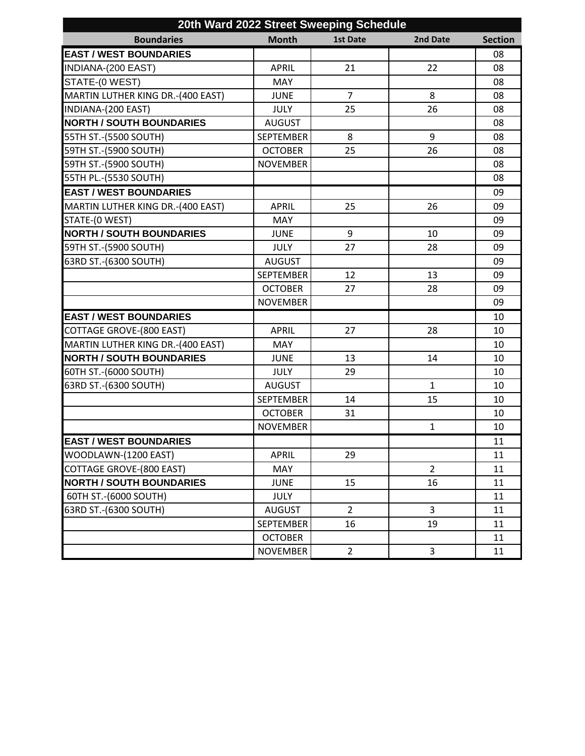| 20th Ward 2022 Street Sweeping Schedule |                  |                |                |                |
|-----------------------------------------|------------------|----------------|----------------|----------------|
| <b>Boundaries</b>                       | <b>Month</b>     | 1st Date       | 2nd Date       | <b>Section</b> |
| <b>EAST / WEST BOUNDARIES</b>           |                  |                |                | 08             |
| INDIANA-(200 EAST)                      | <b>APRIL</b>     | 21             | 22             | 08             |
| STATE-(0 WEST)                          | <b>MAY</b>       |                |                | 08             |
| MARTIN LUTHER KING DR.-(400 EAST)       | <b>JUNE</b>      | $\overline{7}$ | 8              | 08             |
| INDIANA-(200 EAST)                      | <b>JULY</b>      | 25             | 26             | 08             |
| <b>NORTH / SOUTH BOUNDARIES</b>         | <b>AUGUST</b>    |                |                | 08             |
| 55TH ST.-(5500 SOUTH)                   | <b>SEPTEMBER</b> | 8              | 9              | 08             |
| 59TH ST.-(5900 SOUTH)                   | <b>OCTOBER</b>   | 25             | 26             | 08             |
| 59TH ST.-(5900 SOUTH)                   | <b>NOVEMBER</b>  |                |                | 08             |
| 55TH PL.-(5530 SOUTH)                   |                  |                |                | 08             |
| <b>EAST / WEST BOUNDARIES</b>           |                  |                |                | 09             |
| MARTIN LUTHER KING DR.-(400 EAST)       | <b>APRIL</b>     | 25             | 26             | 09             |
| STATE-(0 WEST)                          | <b>MAY</b>       |                |                | 09             |
| <b>NORTH / SOUTH BOUNDARIES</b>         | <b>JUNE</b>      | 9              | 10             | 09             |
| 59TH ST.-(5900 SOUTH)                   | <b>JULY</b>      | 27             | 28             | 09             |
| 63RD ST.-(6300 SOUTH)                   | <b>AUGUST</b>    |                |                | 09             |
|                                         | <b>SEPTEMBER</b> | 12             | 13             | 09             |
|                                         | <b>OCTOBER</b>   | 27             | 28             | 09             |
|                                         | <b>NOVEMBER</b>  |                |                | 09             |
| <b>EAST / WEST BOUNDARIES</b>           |                  |                |                | 10             |
| <b>COTTAGE GROVE-(800 EAST)</b>         | <b>APRIL</b>     | 27             | 28             | 10             |
| MARTIN LUTHER KING DR.-(400 EAST)       | <b>MAY</b>       |                |                | 10             |
| <b>NORTH / SOUTH BOUNDARIES</b>         | <b>JUNE</b>      | 13             | 14             | 10             |
| 60TH ST.-(6000 SOUTH)                   | <b>JULY</b>      | 29             |                | 10             |
| 63RD ST.-(6300 SOUTH)                   | <b>AUGUST</b>    |                | $\mathbf{1}$   | 10             |
|                                         | <b>SEPTEMBER</b> | 14             | 15             | 10             |
|                                         | <b>OCTOBER</b>   | 31             |                | 10             |
|                                         | <b>NOVEMBER</b>  |                | $\mathbf{1}$   | 10             |
| <b>EAST / WEST BOUNDARIES</b>           |                  |                |                | 11             |
| WOODLAWN-(1200 EAST)                    | <b>APRIL</b>     | 29             |                | 11             |
| <b>COTTAGE GROVE-(800 EAST)</b>         | <b>MAY</b>       |                | $\overline{2}$ | 11             |
| <b>NORTH / SOUTH BOUNDARIES</b>         | <b>JUNE</b>      | 15             | 16             | 11             |
| 60TH ST.-(6000 SOUTH)                   | <b>JULY</b>      |                |                | 11             |
| 63RD ST.-(6300 SOUTH)                   | <b>AUGUST</b>    | $\overline{2}$ | 3              | 11             |
|                                         | <b>SEPTEMBER</b> | 16             | 19             | 11             |
|                                         | <b>OCTOBER</b>   |                |                | 11             |
|                                         | <b>NOVEMBER</b>  | $\overline{2}$ | 3              | 11             |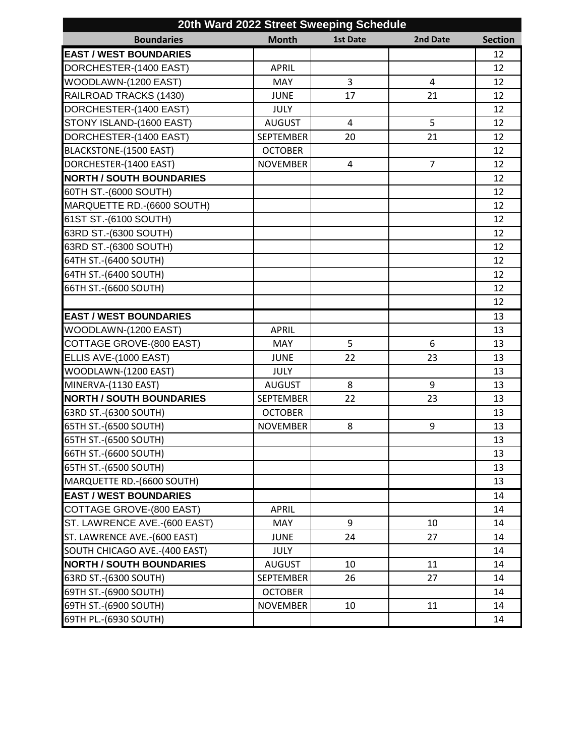| 20th Ward 2022 Street Sweeping Schedule |                  |                |                |                |
|-----------------------------------------|------------------|----------------|----------------|----------------|
| <b>Boundaries</b>                       | <b>Month</b>     | 1st Date       | 2nd Date       | <b>Section</b> |
| <b>EAST / WEST BOUNDARIES</b>           |                  |                |                | 12             |
| DORCHESTER-(1400 EAST)                  | <b>APRIL</b>     |                |                | 12             |
| WOODLAWN-(1200 EAST)                    | MAY              | 3              | 4              | 12             |
| RAILROAD TRACKS (1430)                  | <b>JUNE</b>      | 17             | 21             | 12             |
| DORCHESTER-(1400 EAST)                  | <b>JULY</b>      |                |                | 12             |
| STONY ISLAND-(1600 EAST)                | <b>AUGUST</b>    | $\overline{4}$ | 5              | 12             |
| DORCHESTER-(1400 EAST)                  | <b>SEPTEMBER</b> | 20             | 21             | 12             |
| <b>BLACKSTONE-(1500 EAST)</b>           | <b>OCTOBER</b>   |                |                | 12             |
| DORCHESTER-(1400 EAST)                  | <b>NOVEMBER</b>  | $\overline{4}$ | $\overline{7}$ | 12             |
| <b>NORTH / SOUTH BOUNDARIES</b>         |                  |                |                | 12             |
| 60TH ST.-(6000 SOUTH)                   |                  |                |                | 12             |
| MARQUETTE RD.-(6600 SOUTH)              |                  |                |                | 12             |
| 61ST ST.-(6100 SOUTH)                   |                  |                |                | 12             |
| 63RD ST.-(6300 SOUTH)                   |                  |                |                | 12             |
| 63RD ST.-(6300 SOUTH)                   |                  |                |                | 12             |
| 64TH ST.-(6400 SOUTH)                   |                  |                |                | 12             |
| 64TH ST.-(6400 SOUTH)                   |                  |                |                | 12             |
| 66TH ST.-(6600 SOUTH)                   |                  |                |                | 12             |
|                                         |                  |                |                | 12             |
| <b>EAST / WEST BOUNDARIES</b>           |                  |                |                | 13             |
| WOODLAWN-(1200 EAST)                    | <b>APRIL</b>     |                |                | 13             |
| COTTAGE GROVE-(800 EAST)                | <b>MAY</b>       | 5              | 6              | 13             |
| ELLIS AVE-(1000 EAST)                   | <b>JUNE</b>      | 22             | 23             | 13             |
| WOODLAWN-(1200 EAST)                    | <b>JULY</b>      |                |                | 13             |
| MINERVA-(1130 EAST)                     | <b>AUGUST</b>    | 8              | 9              | 13             |
| <b>NORTH / SOUTH BOUNDARIES</b>         | <b>SEPTEMBER</b> | 22             | 23             | 13             |
| 63RD ST.-(6300 SOUTH)                   | <b>OCTOBER</b>   |                |                | 13             |
| 65TH ST.-(6500 SOUTH)                   | <b>NOVEMBER</b>  | 8              | 9              | 13             |
| 65TH ST.-(6500 SOUTH)                   |                  |                |                | 13             |
| 66TH ST.-(6600 SOUTH)                   |                  |                |                | 13             |
| 65TH ST.-(6500 SOUTH)                   |                  |                |                | 13             |
| MARQUETTE RD.-(6600 SOUTH)              |                  |                |                | 13             |
| <b>EAST / WEST BOUNDARIES</b>           |                  |                |                | 14             |
| COTTAGE GROVE-(800 EAST)                | <b>APRIL</b>     |                |                | 14             |
| ST. LAWRENCE AVE.-(600 EAST)            | <b>MAY</b>       | 9              | 10             | 14             |
| ST. LAWRENCE AVE.-(600 EAST)            | <b>JUNE</b>      | 24             | 27             | 14             |
| SOUTH CHICAGO AVE.-(400 EAST)           | <b>JULY</b>      |                |                | 14             |
| <b>NORTH / SOUTH BOUNDARIES</b>         | <b>AUGUST</b>    | 10             | 11             | 14             |
| 63RD ST.-(6300 SOUTH)                   | <b>SEPTEMBER</b> | 26             | 27             | 14             |
| 69TH ST.-(6900 SOUTH)                   | <b>OCTOBER</b>   |                |                | 14             |
| 69TH ST.-(6900 SOUTH)                   | <b>NOVEMBER</b>  | 10             | 11             | 14             |
| 69TH PL.-(6930 SOUTH)                   |                  |                |                | 14             |